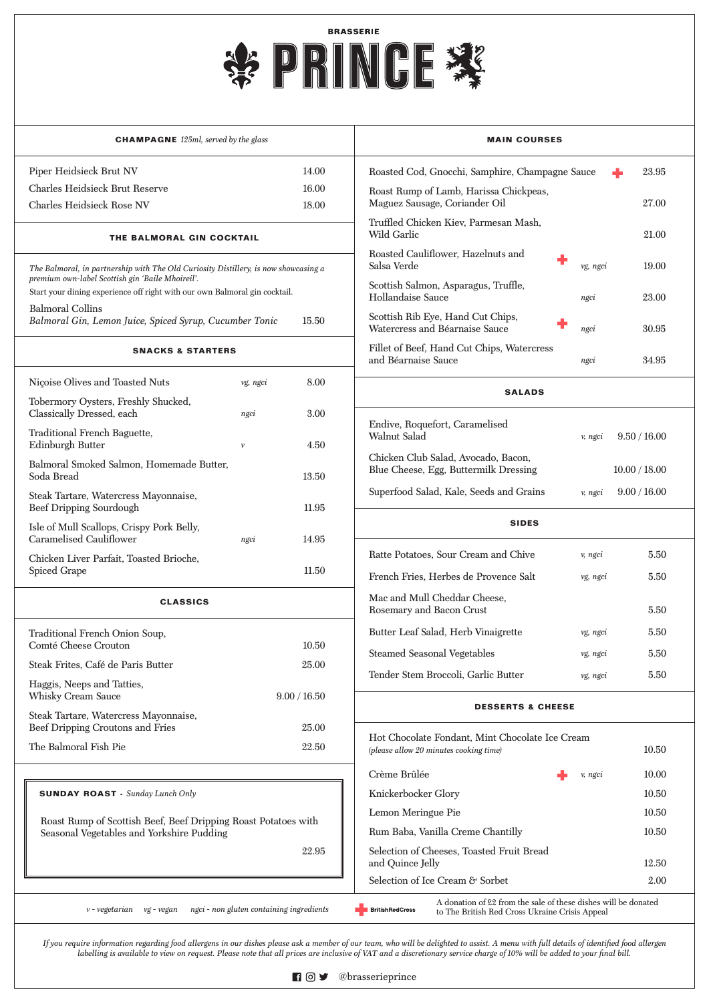*If you require information regarding food allergens in our dishes please ask a member of our team, who will be delighted to assist. A menu with full details of identified food allergen labelling is available to view on request. Please note that all prices are inclusive of VAT and a discretionary service charge of 10% will be added to your final bill.*



| <b>CHAMPAGNE</b> 125ml, served by the glass                                                                                    |              |       | <b>MAIN COURSES</b>                                                                       |          |               |
|--------------------------------------------------------------------------------------------------------------------------------|--------------|-------|-------------------------------------------------------------------------------------------|----------|---------------|
| Piper Heidsieck Brut NV                                                                                                        |              | 14.00 | Roasted Cod, Gnocchi, Samphire, Champagne Sauce                                           |          | 23.95         |
| <b>Charles Heidsieck Brut Reserve</b>                                                                                          |              | 16.00 | Roast Rump of Lamb, Harissa Chickpeas,                                                    |          |               |
| <b>Charles Heidsieck Rose NV</b>                                                                                               |              | 18.00 | Maguez Sausage, Coriander Oil                                                             |          | 27.00         |
| THE BALMORAL GIN COCKTAIL                                                                                                      |              |       | Truffled Chicken Kiev, Parmesan Mash,<br><b>Wild Garlic</b>                               |          | 21.00         |
| The Balmoral, in partnership with The Old Curiosity Distillery, is now showcasing a                                            |              |       | Roasted Cauliflower, Hazelnuts and<br>Salsa Verde                                         | vg, ngci | 19.00         |
| premium own-label Scottish gin 'Baile Mhoireil'.<br>Start your dining experience off right with our own Balmoral gin cocktail. |              |       | Scottish Salmon, Asparagus, Truffle,<br>Hollandaise Sauce                                 | ngci     | 23.00         |
| <b>Balmoral Collins</b><br>Balmoral Gin, Lemon Juice, Spiced Syrup, Cucumber Tonic<br>15.50                                    |              |       | Scottish Rib Eye, Hand Cut Chips,<br>Watercress and Béarnaise Sauce                       | ngci     | 30.95         |
| <b>SNACKS &amp; STARTERS</b>                                                                                                   |              |       | Fillet of Beef, Hand Cut Chips, Watercress<br>and Béarnaise Sauce                         | ngci     | 34.95         |
| Nicoise Olives and Toasted Nuts                                                                                                | vg, ngci     | 8.00  | <b>SALADS</b>                                                                             |          |               |
| Tobermory Oysters, Freshly Shucked,<br>Classically Dressed, each                                                               | ngci         | 3.00  |                                                                                           |          |               |
| Traditional French Baguette,<br>Edinburgh Butter                                                                               | $\nu$        | 4.50  | Endive, Roquefort, Caramelised<br>Walnut Salad                                            | v, ngci  | 9.50 / 16.00  |
| Balmoral Smoked Salmon, Homemade Butter,<br>Soda Bread                                                                         |              | 13.50 | Chicken Club Salad, Avocado, Bacon,<br>Blue Cheese, Egg, Buttermilk Dressing              |          | 10.00 / 18.00 |
| Steak Tartare, Watercress Mayonnaise,<br><b>Beef Dripping Sourdough</b>                                                        |              | 11.95 | Superfood Salad, Kale, Seeds and Grains                                                   | v, ngci  | 9.00 / 16.00  |
| Isle of Mull Scallops, Crispy Pork Belly,<br><b>Caramelised Cauliflower</b>                                                    | ngci         | 14.95 | <b>SIDES</b>                                                                              |          |               |
| Chicken Liver Parfait, Toasted Brioche,                                                                                        |              |       | Ratte Potatoes, Sour Cream and Chive                                                      | v, ngci  | 5.50          |
| Spiced Grape                                                                                                                   |              | 11.50 | French Fries, Herbes de Provence Salt                                                     | vg, ngci | 5.50          |
| <b>CLASSICS</b>                                                                                                                |              |       | Mac and Mull Cheddar Cheese,<br>Rosemary and Bacon Crust                                  |          | 5.50          |
| Traditional French Onion Soup,                                                                                                 |              |       | Butter Leaf Salad, Herb Vinaigrette                                                       | vg, ngci | 5.50          |
| Comté Cheese Crouton                                                                                                           |              | 10.50 |                                                                                           |          |               |
| Steak Frites, Café de Paris Butter                                                                                             |              | 25.00 | <b>Steamed Seasonal Vegetables</b>                                                        | vg, ngci | 5.50          |
| Haggis, Neeps and Tatties,<br><b>Whisky Cream Sauce</b>                                                                        | 9.00 / 16.50 |       | Tender Stem Broccoli, Garlic Butter                                                       | vg, ngci | 5.50          |
| Steak Tartare, Watercress Mayonnaise,                                                                                          |              |       | <b>DESSERTS &amp; CHEESE</b>                                                              |          |               |
| Beef Dripping Croutons and Fries                                                                                               |              | 25.00 |                                                                                           |          |               |
| The Balmoral Fish Pie                                                                                                          |              | 22.50 | Hot Chocolate Fondant, Mint Chocolate Ice Cream<br>(please allow 20 minutes cooking time) |          | 10.50         |



|                                                                                                                                                                                                                            | Crème Brûlée<br>v, ngci                                       | 10.00 |  |  |  |
|----------------------------------------------------------------------------------------------------------------------------------------------------------------------------------------------------------------------------|---------------------------------------------------------------|-------|--|--|--|
| <b>SUNDAY ROAST</b> - Sunday Lunch Only                                                                                                                                                                                    | Knickerbocker Glory                                           | 10.50 |  |  |  |
| Roast Rump of Scottish Beef, Beef Dripping Roast Potatoes with                                                                                                                                                             | Lemon Meringue Pie                                            | 10.50 |  |  |  |
| Seasonal Vegetables and Yorkshire Pudding                                                                                                                                                                                  | Rum Baba, Vanilla Creme Chantilly                             | 10.50 |  |  |  |
| 22.95                                                                                                                                                                                                                      | Selection of Cheeses, Toasted Fruit Bread<br>and Quince Jelly | 12.50 |  |  |  |
|                                                                                                                                                                                                                            | Selection of Ice Cream & Sorbet                               | 2.00  |  |  |  |
| A donation of £2 from the sale of these dishes will be donated<br>ngci - non gluten containing ingredients<br>$\nu$ - vegetarian<br>vg - vegan<br><b>BritishRedCross</b><br>to The British Red Cross Ukraine Crisis Appeal |                                                               |       |  |  |  |